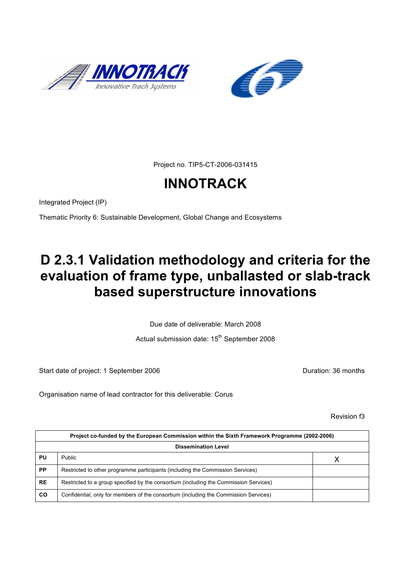



Project no. TIP5-CT-2006-031415

# **INNOTRACK**

Integrated Project (IP)

Thematic Priority 6: Sustainable Development, Global Change and Ecosystems

# **D 2.3.1 Validation methodology and criteria for the evaluation of frame type, unballasted or slab-track based superstructure innovations**

Due date of deliverable: March 2008

Actual submission date: 15<sup>th</sup> September 2008

Start date of project: 1 September 2006 **Duration: 36 months** 

Organisation name of lead contractor for this deliverable: Corus

Revision f3

| Project co-funded by the European Commission within the Sixth Framework Programme (2002-2006) |                                                                                       |   |  |
|-----------------------------------------------------------------------------------------------|---------------------------------------------------------------------------------------|---|--|
| <b>Dissemination Level</b>                                                                    |                                                                                       |   |  |
| PU                                                                                            | Public                                                                                | Χ |  |
| <b>PP</b>                                                                                     | Restricted to other programme participants (including the Commission Services)        |   |  |
| <b>RE</b>                                                                                     | Restricted to a group specified by the consortium (including the Commission Services) |   |  |
| <b>CO</b>                                                                                     | Confidential, only for members of the consortium (including the Commission Services)  |   |  |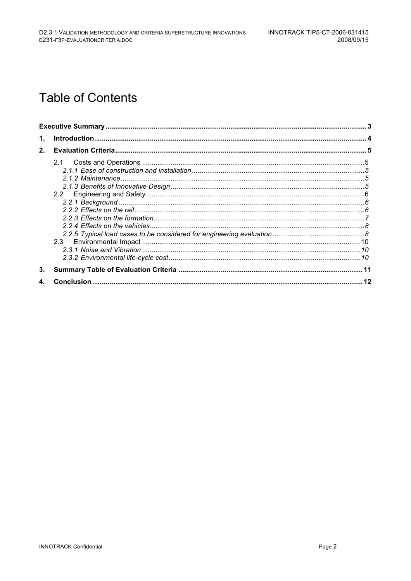## **Table of Contents**

| $\mathbf 1$ . |     |  |
|---------------|-----|--|
| 2.            |     |  |
|               | 2.1 |  |
| 3.            |     |  |
|               |     |  |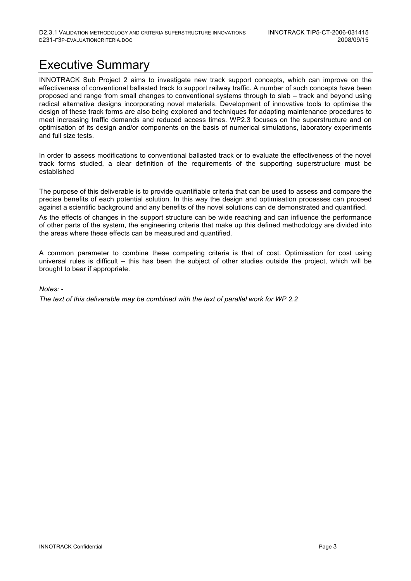## Executive Summary

INNOTRACK Sub Project 2 aims to investigate new track support concepts, which can improve on the effectiveness of conventional ballasted track to support railway traffic. A number of such concepts have been proposed and range from small changes to conventional systems through to slab – track and beyond using radical alternative designs incorporating novel materials. Development of innovative tools to optimise the design of these track forms are also being explored and techniques for adapting maintenance procedures to meet increasing traffic demands and reduced access times. WP2.3 focuses on the superstructure and on optimisation of its design and/or components on the basis of numerical simulations, laboratory experiments and full size tests.

In order to assess modifications to conventional ballasted track or to evaluate the effectiveness of the novel track forms studied, a clear definition of the requirements of the supporting superstructure must be established

The purpose of this deliverable is to provide quantifiable criteria that can be used to assess and compare the precise benefits of each potential solution. In this way the design and optimisation processes can proceed against a scientific background and any benefits of the novel solutions can de demonstrated and quantified.

As the effects of changes in the support structure can be wide reaching and can influence the performance of other parts of the system, the engineering criteria that make up this defined methodology are divided into the areas where these effects can be measured and quantified.

A common parameter to combine these competing criteria is that of cost. Optimisation for cost using universal rules is difficult – this has been the subject of other studies outside the project, which will be brought to bear if appropriate.

#### *Notes: -*

*The text of this deliverable may be combined with the text of parallel work for WP 2.2*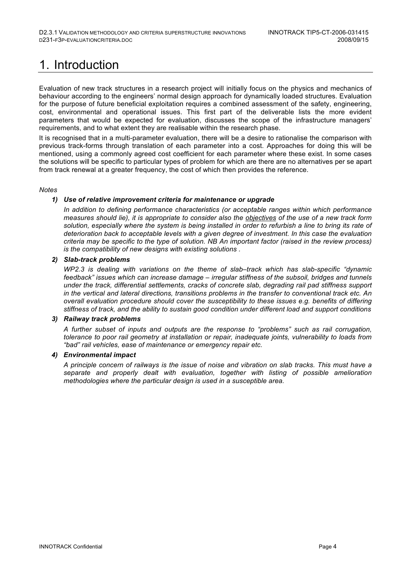# 1. Introduction

Evaluation of new track structures in a research project will initially focus on the physics and mechanics of behaviour according to the engineers' normal design approach for dynamically loaded structures. Evaluation for the purpose of future beneficial exploitation requires a combined assessment of the safety, engineering, cost, environmental and operational issues. This first part of the deliverable lists the more evident parameters that would be expected for evaluation, discusses the scope of the infrastructure managers' requirements, and to what extent they are realisable within the research phase.

It is recognised that in a multi-parameter evaluation, there will be a desire to rationalise the comparison with previous track-forms through translation of each parameter into a cost. Approaches for doing this will be mentioned, using a commonly agreed cost coefficient for each parameter where these exist. In some cases the solutions will be specific to particular types of problem for which are there are no alternatives per se apart from track renewal at a greater frequency, the cost of which then provides the reference.

#### *Notes*

#### *1) Use of relative improvement criteria for maintenance or upgrade*

*In addition to defining performance characteristics (or acceptable ranges within which performance measures should lie), it is appropriate to consider also the objectives of the use of a new track form solution, especially where the system is being installed in order to refurbish a line to bring its rate of deterioration back to acceptable levels with a given degree of investment. In this case the evaluation criteria may be specific to the type of solution. NB An important factor (raised in the review process) is the compatibility of new designs with existing solutions .*

#### *2) Slab-track problems*

*WP2.3 is dealing with variations on the theme of slab–track which has slab-specific "dynamic feedback" issues which can increase damage – irregular stiffness of the subsoil, bridges and tunnels under the track, differential settlements, cracks of concrete slab, degrading rail pad stiffness support in the vertical and lateral directions, transitions problems in the transfer to conventional track etc. An overall evaluation procedure should cover the susceptibility to these issues e.g. benefits of differing stiffness of track, and the ability to sustain good condition under different load and support conditions*

#### *3) Railway track problems*

*A further subset of inputs and outputs are the response to "problems" such as rail corrugation, tolerance to poor rail geometry at installation or repair, inadequate joints, vulnerability to loads from "bad" rail vehicles, ease of maintenance or emergency repair etc.* 

#### *4) Environmental impact*

*A principle concern of railways is the issue of noise and vibration on slab tracks. This must have a separate and properly dealt with evaluation, together with listing of possible amelioration methodologies where the particular design is used in a susceptible area.*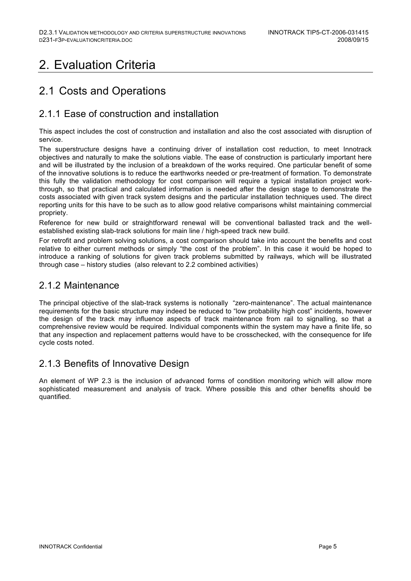## 2. Evaluation Criteria

## 2.1 Costs and Operations

## 2.1.1 Ease of construction and installation

This aspect includes the cost of construction and installation and also the cost associated with disruption of service.

The superstructure designs have a continuing driver of installation cost reduction, to meet Innotrack objectives and naturally to make the solutions viable. The ease of construction is particularly important here and will be illustrated by the inclusion of a breakdown of the works required. One particular benefit of some of the innovative solutions is to reduce the earthworks needed or pre-treatment of formation. To demonstrate this fully the validation methodology for cost comparison will require a typical installation project workthrough, so that practical and calculated information is needed after the design stage to demonstrate the costs associated with given track system designs and the particular installation techniques used. The direct reporting units for this have to be such as to allow good relative comparisons whilst maintaining commercial propriety.

Reference for new build or straightforward renewal will be conventional ballasted track and the wellestablished existing slab-track solutions for main line / high-speed track new build.

For retrofit and problem solving solutions, a cost comparison should take into account the benefits and cost relative to either current methods or simply "the cost of the problem". In this case it would be hoped to introduce a ranking of solutions for given track problems submitted by railways, which will be illustrated through case – history studies (also relevant to 2.2 combined activities)

### 2.1.2 Maintenance

The principal objective of the slab-track systems is notionally "zero-maintenance". The actual maintenance requirements for the basic structure may indeed be reduced to "low probability high cost" incidents, however the design of the track may influence aspects of track maintenance from rail to signalling, so that a comprehensive review would be required. Individual components within the system may have a finite life, so that any inspection and replacement patterns would have to be crosschecked, with the consequence for life cycle costs noted.

### 2.1.3 Benefits of Innovative Design

An element of WP 2.3 is the inclusion of advanced forms of condition monitoring which will allow more sophisticated measurement and analysis of track. Where possible this and other benefits should be quantified.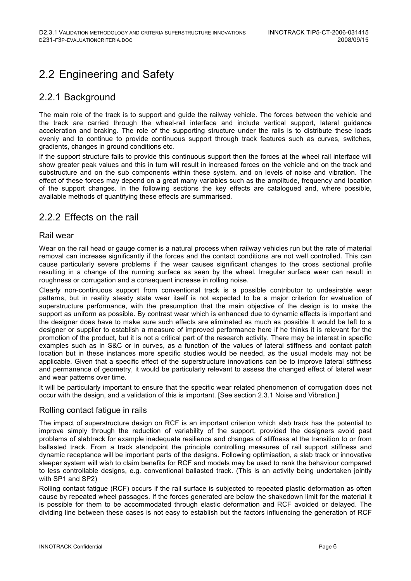## 2.2 Engineering and Safety

### 2.2.1 Background

The main role of the track is to support and guide the railway vehicle. The forces between the vehicle and the track are carried through the wheel-rail interface and include vertical support, lateral guidance acceleration and braking. The role of the supporting structure under the rails is to distribute these loads evenly and to continue to provide continuous support through track features such as curves, switches, gradients, changes in ground conditions etc.

If the support structure fails to provide this continuous support then the forces at the wheel rail interface will show greater peak values and this in turn will result in increased forces on the vehicle and on the track and substructure and on the sub components within these system, and on levels of noise and vibration. The effect of these forces may depend on a great many variables such as the amplitude, frequency and location of the support changes. In the following sections the key effects are catalogued and, where possible, available methods of quantifying these effects are summarised.

### 2.2.2 Effects on the rail

#### Rail wear

Wear on the rail head or gauge corner is a natural process when railway vehicles run but the rate of material removal can increase significantly if the forces and the contact conditions are not well controlled. This can cause particularly severe problems if the wear causes significant changes to the cross sectional profile resulting in a change of the running surface as seen by the wheel. Irregular surface wear can result in roughness or corrugation and a consequent increase in rolling noise.

Clearly non-continuous support from conventional track is a possible contributor to undesirable wear patterns, but in reality steady state wear itself is not expected to be a major criterion for evaluation of superstructure performance, with the presumption that the main objective of the design is to make the support as uniform as possible. By contrast wear which is enhanced due to dynamic effects is important and the designer does have to make sure such effects are eliminated as much as possible It would be left to a designer or supplier to establish a measure of improved performance here if he thinks it is relevant for the promotion of the product, but it is not a critical part of the research activity. There may be interest in specific examples such as in S&C or in curves, as a function of the values of lateral stiffness and contact patch location but in these instances more specific studies would be needed, as the usual models may not be applicable. Given that a specific effect of the superstructure innovations can be to improve lateral stiffness and permanence of geometry, it would be particularly relevant to assess the changed effect of lateral wear and wear patterns over time.

It will be particularly important to ensure that the specific wear related phenomenon of corrugation does not occur with the design, and a validation of this is important. [See section 2.3.1 Noise and Vibration.]

#### Rolling contact fatigue in rails

The impact of superstructure design on RCF is an important criterion which slab track has the potential to improve simply through the reduction of variability of the support, provided the designers avoid past problems of slabtrack for example inadequate resilience and changes of stiffness at the transition to or from ballasted track. From a track standpoint the principle controlling measures of rail support stiffness and dynamic receptance will be important parts of the designs. Following optimisation, a slab track or innovative sleeper system will wish to claim benefits for RCF and models may be used to rank the behaviour compared to less controllable designs, e.g. conventional ballasted track. (This is an activity being undertaken jointly with SP1 and SP2)

Rolling contact fatigue (RCF) occurs if the rail surface is subjected to repeated plastic deformation as often cause by repeated wheel passages. If the forces generated are below the shakedown limit for the material it is possible for them to be accommodated through elastic deformation and RCF avoided or delayed. The dividing line between these cases is not easy to establish but the factors influencing the generation of RCF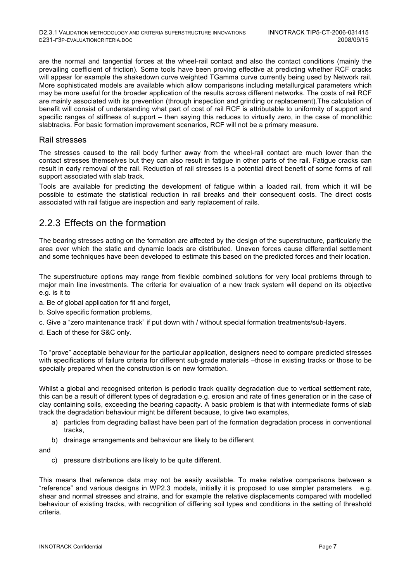are the normal and tangential forces at the wheel-rail contact and also the contact conditions (mainly the prevailing coefficient of friction). Some tools have been proving effective at predicting whether RCF cracks will appear for example the shakedown curve weighted TGamma curve currently being used by Network rail. More sophisticated models are available which allow comparisons including metallurgical parameters which may be more useful for the broader application of the results across different networks. The costs of rail RCF are mainly associated with its prevention (through inspection and grinding or replacement).The calculation of benefit will consist of understanding what part of cost of rail RCF is attributable to uniformity of support and specific ranges of stiffness of support – then saying this reduces to virtually zero, in the case of monolithic slabtracks. For basic formation improvement scenarios, RCF will not be a primary measure.

#### Rail stresses

The stresses caused to the rail body further away from the wheel-rail contact are much lower than the contact stresses themselves but they can also result in fatigue in other parts of the rail. Fatigue cracks can result in early removal of the rail. Reduction of rail stresses is a potential direct benefit of some forms of rail support associated with slab track.

Tools are available for predicting the development of fatigue within a loaded rail, from which it will be possible to estimate the statistical reduction in rail breaks and their consequent costs. The direct costs associated with rail fatigue are inspection and early replacement of rails.

### 2.2.3 Effects on the formation

The bearing stresses acting on the formation are affected by the design of the superstructure, particularly the area over which the static and dynamic loads are distributed. Uneven forces cause differential settlement and some techniques have been developed to estimate this based on the predicted forces and their location.

The superstructure options may range from flexible combined solutions for very local problems through to major main line investments. The criteria for evaluation of a new track system will depend on its objective e.g. is it to

- a. Be of global application for fit and forget,
- b. Solve specific formation problems,
- c. Give a "zero maintenance track" if put down with / without special formation treatments/sub-layers.
- d. Each of these for S&C only.

To "prove" acceptable behaviour for the particular application, designers need to compare predicted stresses with specifications of failure criteria for different sub-grade materials –those in existing tracks or those to be specially prepared when the construction is on new formation.

Whilst a global and recognised criterion is periodic track quality degradation due to vertical settlement rate, this can be a result of different types of degradation e.g. erosion and rate of fines generation or in the case of clay containing soils, exceeding the bearing capacity. A basic problem is that with intermediate forms of slab track the degradation behaviour might be different because, to give two examples,

- a) particles from degrading ballast have been part of the formation degradation process in conventional tracks,
- b) drainage arrangements and behaviour are likely to be different

and

c) pressure distributions are likely to be quite different.

This means that reference data may not be easily available. To make relative comparisons between a "reference" and various designs in WP2.3 models, initially it is proposed to use simpler parameters e.g. shear and normal stresses and strains, and for example the relative displacements compared with modelled behaviour of existing tracks, with recognition of differing soil types and conditions in the setting of threshold criteria.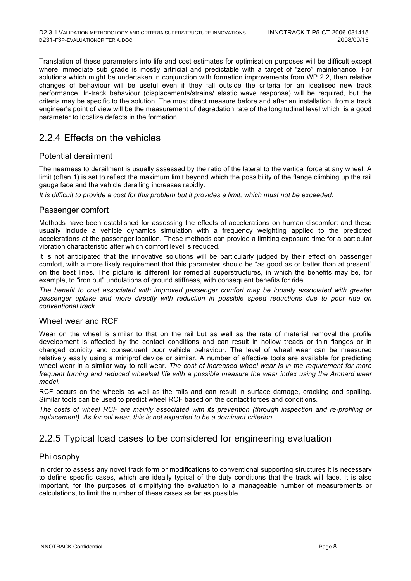Translation of these parameters into life and cost estimates for optimisation purposes will be difficult except where immediate sub grade is mostly artificial and predictable with a target of "zero" maintenance. For solutions which might be undertaken in conjunction with formation improvements from WP 2.2, then relative changes of behaviour will be useful even if they fall outside the criteria for an idealised new track performance. In-track behaviour (displacements/strains/ elastic wave response) will be required, but the criteria may be specific to the solution. The most direct measure before and after an installation from a track engineer's point of view will be the measurement of degradation rate of the longitudinal level which is a good parameter to localize defects in the formation.

### 2.2.4 Effects on the vehicles

#### Potential derailment

The nearness to derailment is usually assessed by the ratio of the lateral to the vertical force at any wheel. A limit (often 1) is set to reflect the maximum limit beyond which the possibility of the flange climbing up the rail gauge face and the vehicle derailing increases rapidly.

*It is difficult to provide a cost for this problem but it provides a limit, which must not be exceeded.* 

#### Passenger comfort

Methods have been established for assessing the effects of accelerations on human discomfort and these usually include a vehicle dynamics simulation with a frequency weighting applied to the predicted accelerations at the passenger location. These methods can provide a limiting exposure time for a particular vibration characteristic after which comfort level is reduced.

It is not anticipated that the innovative solutions will be particularly judged by their effect on passenger comfort, with a more likely requirement that this parameter should be "as good as or better than at present" on the best lines. The picture is different for remedial superstructures, in which the benefits may be, for example, to "iron out" undulations of ground stiffness, with consequent benefits for ride

*The benefit to cost associated with improved passenger comfort may be loosely associated with greater passenger uptake and more directly with reduction in possible speed reductions due to poor ride on conventional track.*

#### Wheel wear and RCF

Wear on the wheel is similar to that on the rail but as well as the rate of material removal the profile development is affected by the contact conditions and can result in hollow treads or thin flanges or in changed conicity and consequent poor vehicle behaviour. The level of wheel wear can be measured relatively easily using a miniprof device or similar. A number of effective tools are available for predicting wheel wear in a similar way to rail wear. *The cost of increased wheel wear is in the requirement for more frequent turning and reduced wheelset life with a possible measure the wear index using the Archard wear model.*

RCF occurs on the wheels as well as the rails and can result in surface damage, cracking and spalling. Similar tools can be used to predict wheel RCF based on the contact forces and conditions.

*The costs of wheel RCF are mainly associated with its prevention (through inspection and re-profiling or replacement). As for rail wear, this is not expected to be a dominant criterion*

### 2.2.5 Typical load cases to be considered for engineering evaluation

#### Philosophy

In order to assess any novel track form or modifications to conventional supporting structures it is necessary to define specific cases, which are ideally typical of the duty conditions that the track will face. It is also important, for the purposes of simplifying the evaluation to a manageable number of measurements or calculations, to limit the number of these cases as far as possible.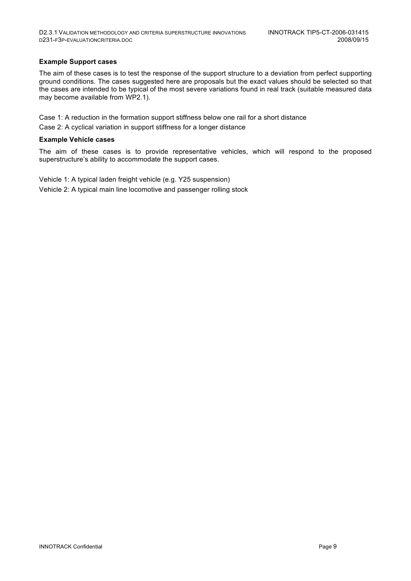#### **Example Support cases**

The aim of these cases is to test the response of the support structure to a deviation from perfect supporting ground conditions. The cases suggested here are proposals but the exact values should be selected so that the cases are intended to be typical of the most severe variations found in real track (suitable measured data may become available from WP2.1).

Case 1: A reduction in the formation support stiffness below one rail for a short distance

Case 2: A cyclical variation in support stiffness for a longer distance

#### **Example Vehicle cases**

The aim of these cases is to provide representative vehicles, which will respond to the proposed superstructure's ability to accommodate the support cases.

Vehicle 1: A typical laden freight vehicle (e.g. Y25 suspension) Vehicle 2: A typical main line locomotive and passenger rolling stock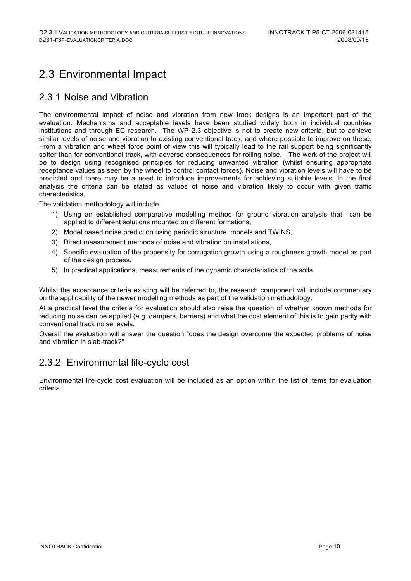## 2.3 Environmental Impact

### 2.3.1 Noise and Vibration

The environmental impact of noise and vibration from new track designs is an important part of the evaluation. Mechanisms and acceptable levels have been studied widely both in individual countries institutions and through EC research. The WP 2.3 objective is not to create new criteria, but to achieve similar levels of noise and vibration to existing conventional track, and where possible to improve on these. From a vibration and wheel force point of view this will typically lead to the rail support being significantly softer than for conventional track, with adverse consequences for rolling noise. The work of the project will be to design using recognised principles for reducing unwanted vibration (whilst ensuring appropriate receptance values as seen by the wheel to control contact forces). Noise and vibration levels will have to be predicted and there may be a need to introduce improvements for achieving suitable levels. In the final analysis the criteria can be stated as values of noise and vibration likely to occur with given traffic characteristics.

The validation methodology will include

- 1) Using an established comparative modelling method for ground vibration analysis that can be applied to different solutions mounted on different formations,
- 2) Model based noise prediction using periodic structure models and TWINS,
- 3) Direct measurement methods of noise and vibration on installations,
- 4) Specific evaluation of the propensity for corrugation growth using a roughness growth model as part of the design process.
- 5) In practical applications, measurements of the dynamic characteristics of the soils.

Whilst the acceptance criteria existing will be referred to, the research component will include commentary on the applicability of the newer modelling methods as part of the validation methodology.

At a practical level the criteria for evaluation should also raise the question of whether known methods for reducing noise can be applied (e.g. dampers, barriers) and what the cost element of this is to gain parity with conventional track noise levels.

Overall the evaluation will answer the question "does the design overcome the expected problems of noise and vibration in slab-track?"

## 2.3.2 Environmental life-cycle cost

Environmental life-cycle cost evaluation will be included as an option within the list of items for evaluation criteria.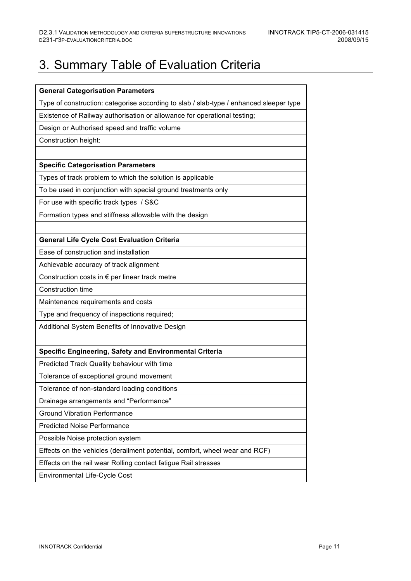# 3. Summary Table of Evaluation Criteria

| <b>General Categorisation Parameters</b>                                               |  |  |
|----------------------------------------------------------------------------------------|--|--|
| Type of construction: categorise according to slab / slab-type / enhanced sleeper type |  |  |
| Existence of Railway authorisation or allowance for operational testing;               |  |  |
| Design or Authorised speed and traffic volume                                          |  |  |
| Construction height:                                                                   |  |  |
|                                                                                        |  |  |
| <b>Specific Categorisation Parameters</b>                                              |  |  |
| Types of track problem to which the solution is applicable                             |  |  |
| To be used in conjunction with special ground treatments only                          |  |  |
| For use with specific track types / S&C                                                |  |  |
| Formation types and stiffness allowable with the design                                |  |  |
|                                                                                        |  |  |
| <b>General Life Cycle Cost Evaluation Criteria</b>                                     |  |  |
| Ease of construction and installation                                                  |  |  |
| Achievable accuracy of track alignment                                                 |  |  |
| Construction costs in € per linear track metre                                         |  |  |
| Construction time                                                                      |  |  |
| Maintenance requirements and costs                                                     |  |  |
| Type and frequency of inspections required;                                            |  |  |
| Additional System Benefits of Innovative Design                                        |  |  |
|                                                                                        |  |  |
| Specific Engineering, Safety and Environmental Criteria                                |  |  |
| Predicted Track Quality behaviour with time                                            |  |  |
| Tolerance of exceptional ground movement                                               |  |  |
| Tolerance of non-standard loading conditions                                           |  |  |
| Drainage arrangements and "Performance"                                                |  |  |
| <b>Ground Vibration Performance</b>                                                    |  |  |
| <b>Predicted Noise Performance</b>                                                     |  |  |
| Possible Noise protection system                                                       |  |  |
| Effects on the vehicles (derailment potential, comfort, wheel wear and RCF)            |  |  |
| Effects on the rail wear Rolling contact fatigue Rail stresses                         |  |  |
| Environmental Life-Cycle Cost                                                          |  |  |